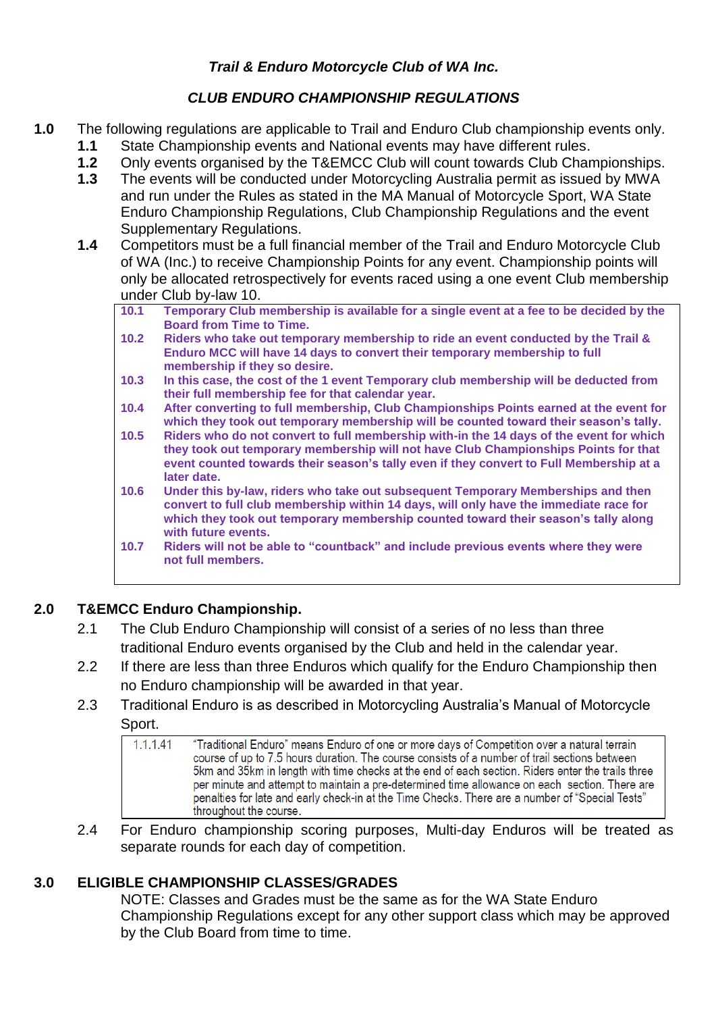## *Trail & Enduro Motorcycle Club of WA Inc.*

# *CLUB ENDURO CHAMPIONSHIP REGULATIONS*

- **1.0** The following regulations are applicable to Trail and Enduro Club championship events only. **1.1** State Championship events and National events may have different rules.
	- **1.2** Only events organised by the T&EMCC Club will count towards Club Championships.
	- **1.3** The events will be conducted under Motorcycling Australia permit as issued by MWA and run under the Rules as stated in the MA Manual of Motorcycle Sport, WA State Enduro Championship Regulations, Club Championship Regulations and the event Supplementary Regulations.
	- **1.4** Competitors must be a full financial member of the Trail and Enduro Motorcycle Club of WA (Inc.) to receive Championship Points for any event. Championship points will only be allocated retrospectively for events raced using a one event Club membership under Club by-law 10.
		- **10.1 Temporary Club membership is available for a single event at a fee to be decided by the Board from Time to Time.**
		- **10.2 Riders who take out temporary membership to ride an event conducted by the Trail & Enduro MCC will have 14 days to convert their temporary membership to full membership if they so desire.**
		- **10.3 In this case, the cost of the 1 event Temporary club membership will be deducted from their full membership fee for that calendar year.**
		- **10.4 After converting to full membership, Club Championships Points earned at the event for which they took out temporary membership will be counted toward their season's tally.**
		- **10.5 Riders who do not convert to full membership with-in the 14 days of the event for which they took out temporary membership will not have Club Championships Points for that event counted towards their season's tally even if they convert to Full Membership at a later date.**
		- **10.6 Under this by-law, riders who take out subsequent Temporary Memberships and then convert to full club membership within 14 days, will only have the immediate race for which they took out temporary membership counted toward their season's tally along with future events.**
		- **10.7 Riders will not be able to "countback" and include previous events where they were not full members.**

# **2.0 T&EMCC Enduro Championship.**

- 2.1 The Club Enduro Championship will consist of a series of no less than three traditional Enduro events organised by the Club and held in the calendar year.
- 2.2 If there are less than three Enduros which qualify for the Enduro Championship then no Enduro championship will be awarded in that year.
- 2.3 Traditional Enduro is as described in Motorcycling Australia's Manual of Motorcycle Sport.

| 1.1.1.41 | "Traditional Enduro" means Enduro of one or more days of Competition over a natural terrain<br>course of up to 7.5 hours duration. The course consists of a number of trail sections between<br>5km and 35km in length with time checks at the end of each section. Riders enter the trails three<br>per minute and attempt to maintain a pre-determined time allowance on each section. There are<br>penalties for late and early check-in at the Time Checks. There are a number of "Special Tests"<br>throughout the course. |
|----------|---------------------------------------------------------------------------------------------------------------------------------------------------------------------------------------------------------------------------------------------------------------------------------------------------------------------------------------------------------------------------------------------------------------------------------------------------------------------------------------------------------------------------------|
|----------|---------------------------------------------------------------------------------------------------------------------------------------------------------------------------------------------------------------------------------------------------------------------------------------------------------------------------------------------------------------------------------------------------------------------------------------------------------------------------------------------------------------------------------|

2.4 For Enduro championship scoring purposes, Multi-day Enduros will be treated as separate rounds for each day of competition.

# **3.0 ELIGIBLE CHAMPIONSHIP CLASSES/GRADES**

NOTE: Classes and Grades must be the same as for the WA State Enduro Championship Regulations except for any other support class which may be approved by the Club Board from time to time.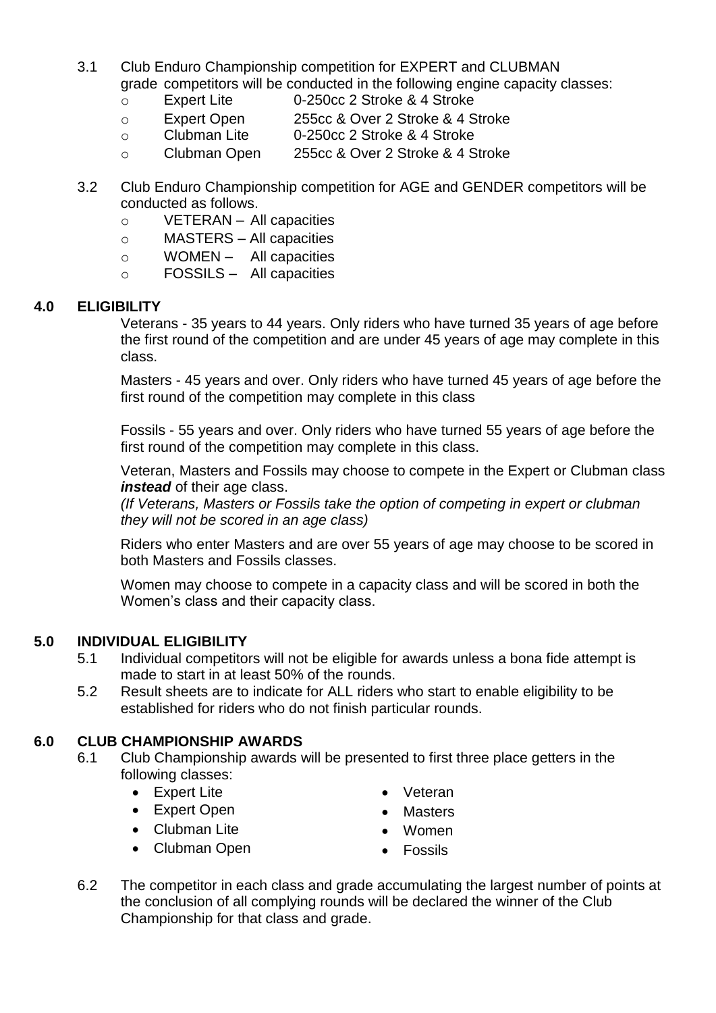- 3.1 Club Enduro Championship competition for EXPERT and CLUBMAN grade competitors will be conducted in the following engine capacity classes:
	- o Expert Lite 0-250cc 2 Stroke & 4 Stroke
	- o Expert Open 255cc & Over 2 Stroke & 4 Stroke
	- o Clubman Lite 0-250cc 2 Stroke & 4 Stroke
	- o Clubman Open 255cc & Over 2 Stroke & 4 Stroke
- 3.2 Club Enduro Championship competition for AGE and GENDER competitors will be conducted as follows.
	- o VETERAN All capacities
	- o MASTERS All capacities
	- o WOMEN All capacities
	- o FOSSILS All capacities

#### **4.0 ELIGIBILITY**

Veterans - 35 years to 44 years. Only riders who have turned 35 years of age before the first round of the competition and are under 45 years of age may complete in this class.

Masters - 45 years and over. Only riders who have turned 45 years of age before the first round of the competition may complete in this class

Fossils - 55 years and over. Only riders who have turned 55 years of age before the first round of the competition may complete in this class.

Veteran, Masters and Fossils may choose to compete in the Expert or Clubman class *instead* of their age class.

*(If Veterans, Masters or Fossils take the option of competing in expert or clubman they will not be scored in an age class)*

Riders who enter Masters and are over 55 years of age may choose to be scored in both Masters and Fossils classes.

Women may choose to compete in a capacity class and will be scored in both the Women's class and their capacity class.

#### **5.0 INDIVIDUAL ELIGIBILITY**

- 5.1 Individual competitors will not be eligible for awards unless a bona fide attempt is made to start in at least 50% of the rounds.
- 5.2 Result sheets are to indicate for ALL riders who start to enable eligibility to be established for riders who do not finish particular rounds.

#### **6.0 CLUB CHAMPIONSHIP AWARDS**

- 6.1 Club Championship awards will be presented to first three place getters in the following classes:
	- Expert Lite
	- Expert Open
	- Clubman Lite
- Veteran
- Masters Women
- 
- Clubman Open
- Fossils
- 6.2 The competitor in each class and grade accumulating the largest number of points at the conclusion of all complying rounds will be declared the winner of the Club Championship for that class and grade.